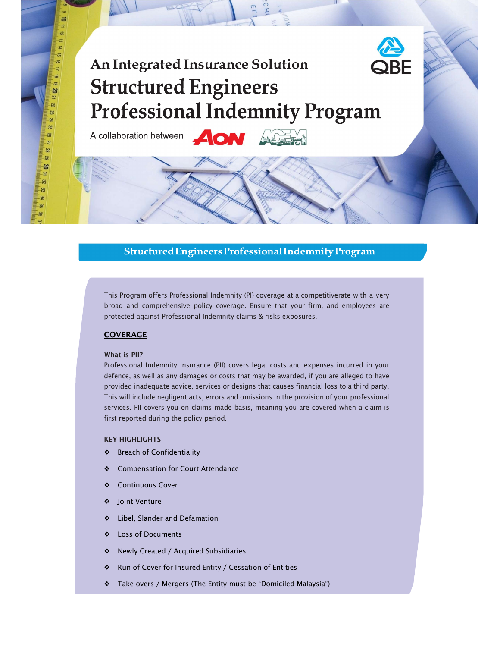# $\frac{1}{2}$ **Structured Engineers Professional Indemnity Program**

A collaboration between

 $\equiv$ ಸ ಷ  $\frac{1}{4}$ 

 $\equiv$ 

 $\vec{5}$ **S** 2 ್ಲ

్టు ່ນ  $25$ 

<u>يو</u>  $\overline{2}$  $\approx$  $\overline{6}$ ఴ  $\overline{3}$ జ ×. g.

# Structured Engineers Professional Indemnity Program

This Program offers Professional Indemnity (PI) coverage at a competitiverate with a very broad and comprehensive policy coverage. Ensure that your firm, and employees are protected against Professional Indemnity claims & risks exposures.

## COVERAGE

### What is PII?

Professional Indemnity Insurance (PII) covers legal costs and expenses incurred in your defence, as well as any damages or costs that may be awarded, if you are alleged to have provided inadequate advice, services or designs that causes financial loss to a third party. This will include negligent acts, errors and omissions in the provision of your professional services. PII covers you on claims made basis, meaning you are covered when a claim is first reported during the policy period.

#### **KEY HIGHLIGHTS**

- ❖ Breach of Confidentiality
- ❖ Compensation for Court Attendance
- Continuous Cover
- Joint Venture
- $\div$  Libel, Slander and Defamation
- Loss of Documents
- Newly Created / Acquired Subsidiaries
- Run of Cover for Insured Entity / Cessation of Entities
- Take-overs / Mergers (The Entity must be "Domiciled Malaysia")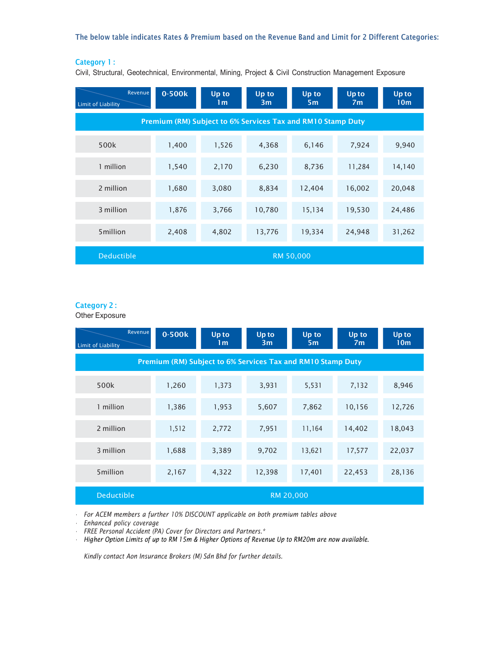The below table indicates Rates & Premium based on the Revenue Band and Limit for 2 Different Categories:

# Category 1 :

Civil, Structural, Geotechnical, Environmental, Mining, Project & Civil Construction Management Exposure

| Revenue<br><b>Limit of Liability</b> | 0-500k                                                      | Up to<br>1 <sub>m</sub> | Up to<br>3m | Up to<br>5 <sub>m</sub> | <b>Up to</b><br>7 <sub>m</sub> | Up to<br>10 <sub>m</sub> |  |  |
|--------------------------------------|-------------------------------------------------------------|-------------------------|-------------|-------------------------|--------------------------------|--------------------------|--|--|
|                                      | Premium (RM) Subject to 6% Services Tax and RM10 Stamp Duty |                         |             |                         |                                |                          |  |  |
| 500k                                 | 1,400                                                       | 1,526                   | 4,368       | 6,146                   | 7,924                          | 9,940                    |  |  |
| 1 million                            | 1,540                                                       | 2,170                   | 6,230       | 8,736                   | 11,284                         | 14,140                   |  |  |
| 2 million                            | 1,680                                                       | 3,080                   | 8,834       | 12,404                  | 16,002                         | 20,048                   |  |  |
| 3 million                            | 1,876                                                       | 3,766                   | 10,780      | 15,134                  | 19,530                         | 24,486                   |  |  |
| 5million                             | 2,408                                                       | 4,802                   | 13,776      | 19,334                  | 24,948                         | 31,262                   |  |  |
| <b>Deductible</b>                    | RM 50,000                                                   |                         |             |                         |                                |                          |  |  |

# Category 2 :

Other Exposure

| Revenue<br>Limit of Liability | 0-500k                                                      | Up to<br>1 <sub>m</sub> | Up to<br>3m | Up to<br>5m | Up to<br>7 <sub>m</sub> | Up to<br>10 <sub>m</sub> |  |  |
|-------------------------------|-------------------------------------------------------------|-------------------------|-------------|-------------|-------------------------|--------------------------|--|--|
|                               | Premium (RM) Subject to 6% Services Tax and RM10 Stamp Duty |                         |             |             |                         |                          |  |  |
| 500k                          | 1,260                                                       | 1,373                   | 3,931       | 5,531       | 7,132                   | 8,946                    |  |  |
| 1 million                     | 1,386                                                       | 1,953                   | 5,607       | 7,862       | 10,156                  | 12,726                   |  |  |
| 2 million                     | 1,512                                                       | 2,772                   | 7,951       | 11,164      | 14,402                  | 18,043                   |  |  |
| 3 million                     | 1,688                                                       | 3,389                   | 9,702       | 13,621      | 17,577                  | 22,037                   |  |  |
| 5million                      | 2,167                                                       | 4,322                   | 12,398      | 17,401      | 22,453                  | 28,136                   |  |  |
| Deductible                    | RM 20,000                                                   |                         |             |             |                         |                          |  |  |

• For ACEM members a further 10% DISCOUNT applicable on both premium tables above

• Enhanced policy coverage

• FREE Personal Accident (PA) Cover for Directors and Partners.\*

• Higher Option Limits of up to RM 15m & Higher Options of Revenue Up to RM20m are now available.

Kindly contact Aon Insurance Brokers (M) Sdn Bhd for further details.